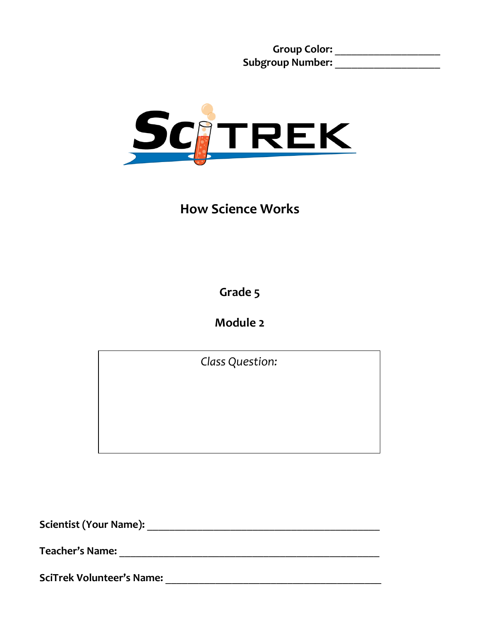**Group Color:** \_\_\_\_\_\_\_\_\_\_\_\_\_\_\_\_\_\_\_ **Subgroup Number:** \_\_\_\_\_\_\_\_\_\_\_\_\_\_\_\_\_\_\_



**How Science Works**

**Grade 5**

**Module 2**

*Class Question:*

**Scientist (Your Name):** \_\_\_\_\_\_\_\_\_\_\_\_\_\_\_\_\_\_\_\_\_\_\_\_\_\_\_\_\_\_\_\_\_\_\_\_\_\_\_\_\_\_

**Teacher's Name: Designed a set of the set of the set of the set of the set of the set of the set of the set of the set of the set of the set of the set of the set of the set of the set of the set of the set of the set o** 

**SciTrek Volunteer's Name:** \_\_\_\_\_\_\_\_\_\_\_\_\_\_\_\_\_\_\_\_\_\_\_\_\_\_\_\_\_\_\_\_\_\_\_\_\_\_\_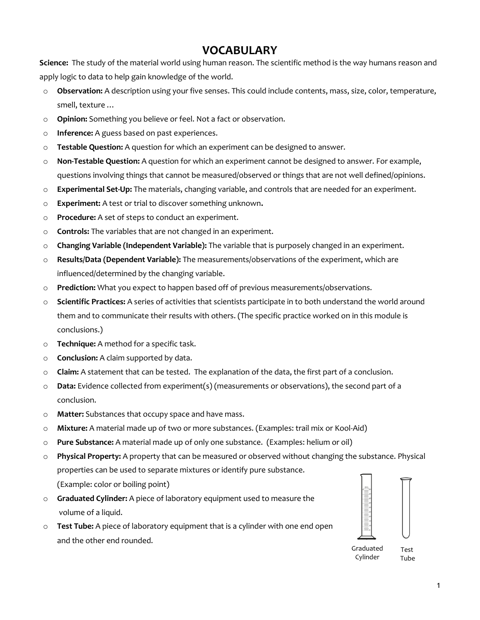## **VOCABULARY**

**Science:** The study of the material world using human reason. The scientific method is the way humans reason and apply logic to data to help gain knowledge of the world.

- o **Observation:** A description using your five senses. This could include contents, mass, size, color, temperature, smell, texture …
- o **Opinion:** Something you believe or feel. Not a fact or observation.
- o **Inference:** A guess based on past experiences.
- o **Testable Question:** A question for which an experiment can be designed to answer.
- o **Non-Testable Question:** A question for which an experiment cannot be designed to answer. For example, questions involving things that cannot be measured/observed or things that are not well defined/opinions.
- o **Experimental Set-Up:** The materials, changing variable, and controls that are needed for an experiment.
- o **Experiment:** A test or trial to discover something unknown**.**
- o **Procedure:** A set of steps to conduct an experiment.
- o **Controls:** The variables that are not changed in an experiment.
- o **Changing Variable (Independent Variable):** The variable that is purposely changed in an experiment.
- o **Results/Data (Dependent Variable):** The measurements/observations of the experiment, which are influenced/determined by the changing variable.
- o **Prediction:** What you expect to happen based off of previous measurements/observations.
- o **Scientific Practices:** A series of activities that scientists participate in to both understand the world around them and to communicate their results with others. (The specific practice worked on in this module is conclusions.)
- o **Technique:** A method for a specific task.
- o **Conclusion:** A claim supported by data.
- o **Claim:** A statement that can be tested. The explanation of the data, the first part of a conclusion.
- o **Data:** Evidence collected from experiment(s) (measurements or observations), the second part of a conclusion.
- o **Matter:** Substances that occupy space and have mass.
- o **Mixture:** A material made up of two or more substances. (Examples: trail mix or Kool-Aid)
- o **Pure Substance:** A material made up of only one substance. (Examples: helium or oil)
- o **Physical Property:** A property that can be measured or observed without changing the substance. Physical properties can be used to separate mixtures or identify pure substance. (Example: color or boiling point)
- o **Graduated Cylinder:** A piece of laboratory equipment used to measure the volume of a liquid.
- o **Test Tube:** A piece of laboratory equipment that is a cylinder with one end open and the other end rounded.



Graduated Cylinder

Test Tube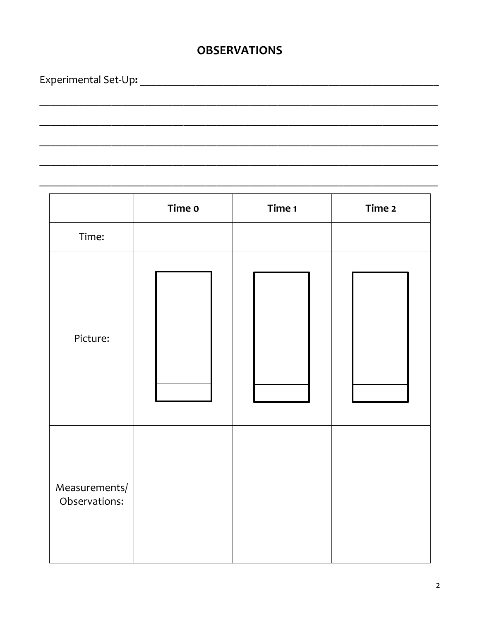## **OBSERVATIONS**

Time o Time 1 Time 2 Time: Picture: Measurements/ Observations: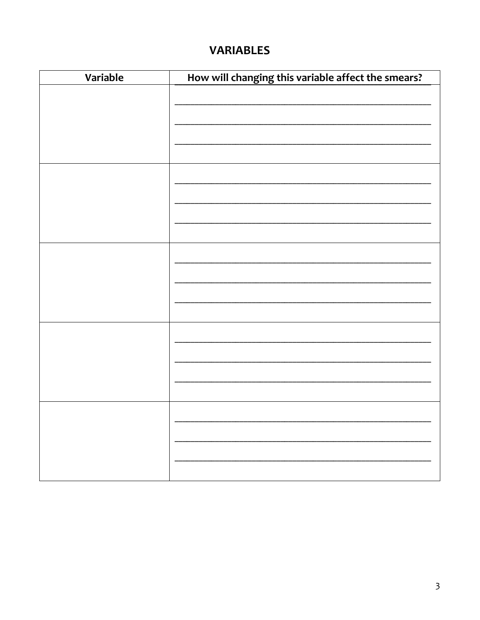## **VARIABLES**

| Variable | How will changing this variable affect the smears? |
|----------|----------------------------------------------------|
|          |                                                    |
|          |                                                    |
|          |                                                    |
|          |                                                    |
|          |                                                    |
|          |                                                    |
|          |                                                    |
|          |                                                    |
|          |                                                    |
|          |                                                    |
|          |                                                    |
|          |                                                    |
|          |                                                    |
|          |                                                    |
|          |                                                    |
|          |                                                    |
|          |                                                    |
|          |                                                    |
|          |                                                    |
|          |                                                    |
|          |                                                    |
|          |                                                    |
|          |                                                    |
|          |                                                    |
|          |                                                    |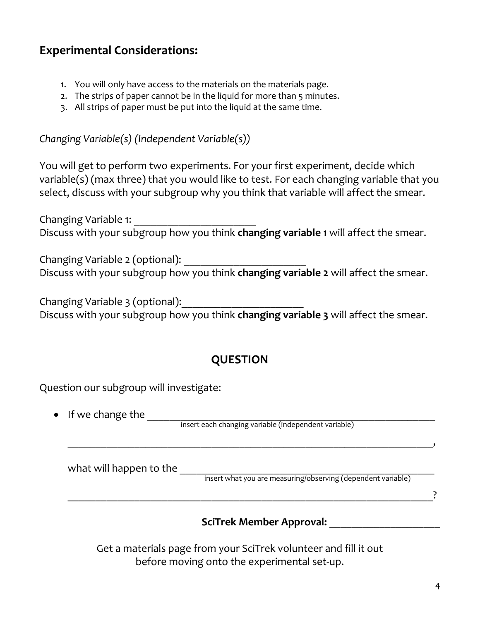## **Experimental Considerations:**

- 1. You will only have access to the materials on the materials page.
- 2. The strips of paper cannot be in the liquid for more than 5 minutes.
- 3. All strips of paper must be put into the liquid at the same time.

*Changing Variable(s) (Independent Variable(s))*

You will get to perform two experiments. For your first experiment, decide which variable(s) (max three) that you would like to test. For each changing variable that you select, discuss with your subgroup why you think that variable will affect the smear.

Changing Variable 1: \_\_\_\_\_\_\_\_\_\_\_\_\_\_\_\_\_\_\_\_\_\_ Discuss with your subgroup how you think **changing variable 1** will affect the smear.

Changing Variable 2 (optional): Discuss with your subgroup how you think **changing variable 2** will affect the smear.

Changing Variable 3 (optional): Discuss with your subgroup how you think **changing variable 3** will affect the smear.

## **QUESTION**

Question our subgroup will investigate:

• If we change the \_\_\_\_\_\_\_\_\_\_\_\_\_\_\_\_\_\_\_\_\_\_\_\_\_\_\_\_\_\_\_\_\_\_\_\_\_\_\_\_\_\_\_\_\_\_\_\_\_\_\_\_

insert each changing variable (independent variable)

| what will happen to the |                                                                                                                                                                                                                                   |  |  |  |
|-------------------------|-----------------------------------------------------------------------------------------------------------------------------------------------------------------------------------------------------------------------------------|--|--|--|
|                         | $\mathbf{r}$ , and the contract of the contract of the contract of the contract of the contract of the contract of the contract of the contract of the contract of the contract of the contract of the contract of the contract o |  |  |  |

\_\_\_\_\_\_\_\_\_\_\_\_\_\_\_\_\_\_\_\_\_\_\_\_\_\_\_\_\_\_\_\_\_\_\_\_\_\_\_\_\_\_\_\_\_\_\_\_\_\_\_\_\_\_\_\_\_\_\_\_\_\_\_\_\_\_,

insert what you are measuring/observing (dependent variable)

\_\_\_\_\_\_\_\_\_\_\_\_\_\_\_\_\_\_\_\_\_\_\_\_\_\_\_\_\_\_\_\_\_\_\_\_\_\_\_\_\_\_\_\_\_\_\_\_\_\_\_\_\_\_\_\_\_\_\_\_\_\_\_\_\_\_?

#### **SciTrek Member Approval:** \_\_\_\_\_\_\_\_\_\_\_\_\_\_\_\_\_\_\_\_

Get a materials page from your SciTrek volunteer and fill it out before moving onto the experimental set-up.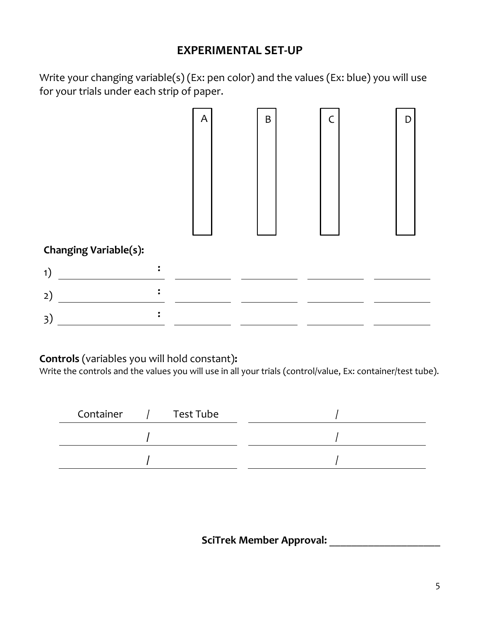## **EXPERIMENTAL SET-UP**

Write your changing variable(s) (Ex: pen color) and the values (Ex: blue) you will use for your trials under each strip of paper.



#### **Controls** (variables you will hold constant)**:**

Write the controls and the values you will use in all your trials (control/value, Ex: container/test tube).

| Test Tube<br>Container |  |
|------------------------|--|
|                        |  |
|                        |  |

## **SciTrek Member Approval:** \_\_\_\_\_\_\_\_\_\_\_\_\_\_\_\_\_\_\_\_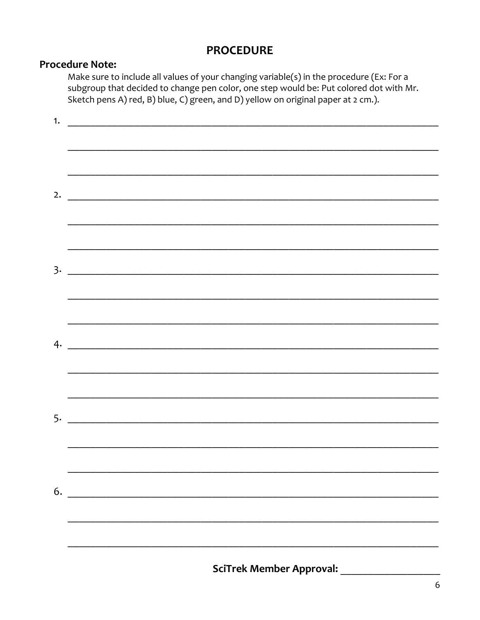### **PROCEDURE**

#### **Procedure Note:**

Make sure to include all values of your changing variable(s) in the procedure (Ex: For a subgroup that decided to change pen color, one step would be: Put colored dot with Mr. Sketch pens A) red, B) blue, C) green, and D) yellow on original paper at 2 cm.).

|    | <b>SciTrek Member Approval:</b> |
|----|---------------------------------|
|    |                                 |
|    |                                 |
| 6. |                                 |
|    |                                 |
|    |                                 |
|    |                                 |
|    |                                 |
|    |                                 |
|    |                                 |
|    |                                 |
|    |                                 |
|    |                                 |
|    |                                 |
|    | 2. $\qquad \qquad$              |
|    |                                 |
|    |                                 |
| 1. |                                 |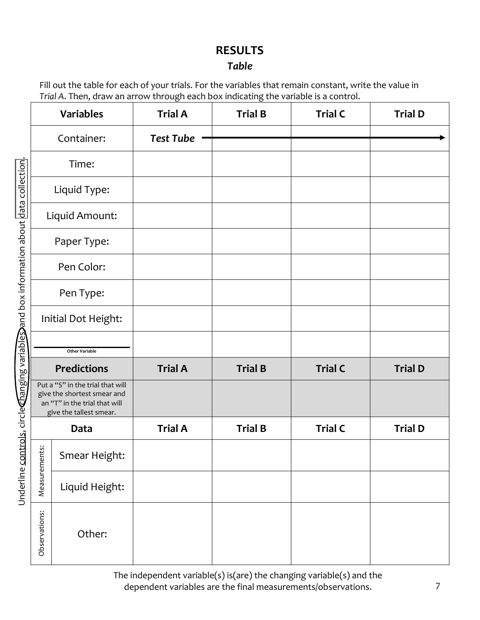## **RESULTS**

### *Table*

Fill out the table for each of your trials. For the variables that remain constant, write the value in *Trial A*. Then, draw an arrow through each box indicating the variable is a control.

| Underline <u>controls</u> , circlechanging variables and box information about data collection |                                                                                                                             | <b>Variables</b>      | <b>Trial A</b>   | <b>Trial B</b> | <b>Trial C</b> | <b>Trial D</b> |
|------------------------------------------------------------------------------------------------|-----------------------------------------------------------------------------------------------------------------------------|-----------------------|------------------|----------------|----------------|----------------|
|                                                                                                |                                                                                                                             | Container:            | <b>Test Tube</b> |                |                |                |
|                                                                                                |                                                                                                                             | Time:                 |                  |                |                |                |
|                                                                                                |                                                                                                                             | Liquid Type:          |                  |                |                |                |
|                                                                                                |                                                                                                                             | Liquid Amount:        |                  |                |                |                |
|                                                                                                |                                                                                                                             | Paper Type:           |                  |                |                |                |
|                                                                                                |                                                                                                                             | Pen Color:            |                  |                |                |                |
|                                                                                                |                                                                                                                             | Pen Type:             |                  |                |                |                |
|                                                                                                |                                                                                                                             | Initial Dot Height:   |                  |                |                |                |
|                                                                                                |                                                                                                                             | <b>Other Variable</b> |                  |                |                |                |
|                                                                                                |                                                                                                                             | <b>Predictions</b>    | <b>Trial A</b>   | <b>Trial B</b> | <b>Trial C</b> | <b>Trial D</b> |
|                                                                                                | Put a "S" in the trial that will<br>give the shortest smear and<br>an "T" in the trial that will<br>give the tallest smear. |                       |                  |                |                |                |
|                                                                                                |                                                                                                                             | Data                  | <b>Trial A</b>   | <b>Trial B</b> | <b>Trial C</b> | <b>Trial D</b> |
|                                                                                                | is:                                                                                                                         | Smear Height:         |                  |                |                |                |
|                                                                                                | Measuremen                                                                                                                  | Liquid Height:        |                  |                |                |                |
|                                                                                                | Observations:                                                                                                               | Other:                |                  |                |                |                |

The independent variable(s) is(are) the changing variable(s) and the dependent variables are the final measurements/observations.

7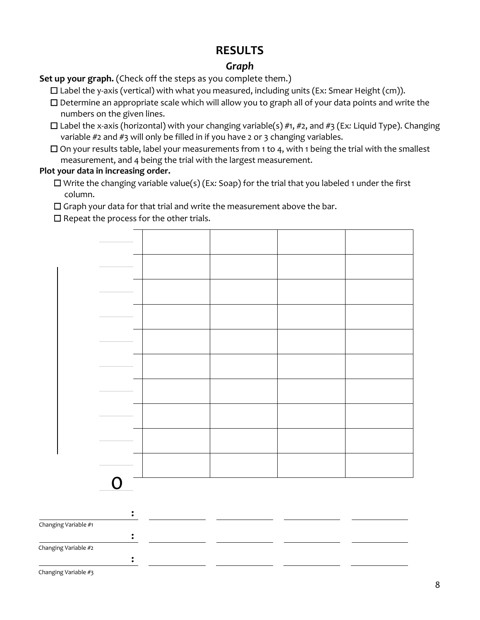## **RESULTS**

### *Graph*

**Set up your graph.** (Check off the steps as you complete them.)

☐ Label the y-axis (vertical) with what you measured, including units (Ex: Smear Height (cm)).

- ☐ Determine an appropriate scale which will allow you to graph all of your data points and write the numbers on the given lines.
- ☐ Label the x-axis (horizontal) with your changing variable(s) #1, #2, and #3 (Ex*:* Liquid Type). Changing variable #2 and #3 will only be filled in if you have 2 or 3 changing variables.
- $\square$  On your results table, label your measurements from 1 to 4, with 1 being the trial with the smallest measurement, and 4 being the trial with the largest measurement.

#### **Plot your data in increasing order.**

☐ Write the changing variable value(s) (Ex*:* Soap) for the trial that you labeled 1 under the first column.

☐ Graph your data for that trial and write the measurement above the bar.

 $\Box$  Repeat the process for the other trials.



Changing Variable #3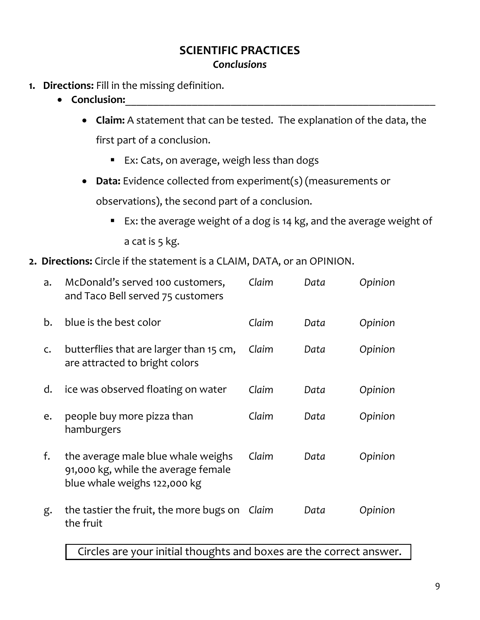- **1. Directions:** Fill in the missing definition.
	- Conclusion:
		- **Claim:** A statement that can be tested. The explanation of the data, the first part of a conclusion.
			- Ex: Cats, on average, weigh less than dogs
		- **Data:** Evidence collected from experiment(s) (measurements or observations), the second part of a conclusion.
			- Ex: the average weight of a dog is 14 kg, and the average weight of a cat is 5 kg.
- **2. Directions:** Circle if the statement is a CLAIM, DATA, or an OPINION.

| a.           | McDonald's served 100 customers,<br>and Taco Bell served 75 customers                                     | Claim | Data | Opinion |
|--------------|-----------------------------------------------------------------------------------------------------------|-------|------|---------|
| b.           | blue is the best color                                                                                    | Claim | Data | Opinion |
| $\mathsf{C}$ | butterflies that are larger than 15 cm,<br>are attracted to bright colors                                 | Claim | Data | Opinion |
| d.           | ice was observed floating on water                                                                        | Claim | Data | Opinion |
| e.           | people buy more pizza than<br>hamburgers                                                                  | Claim | Data | Opinion |
| f.           | the average male blue whale weighs<br>91,000 kg, while the average female<br>blue whale weighs 122,000 kg | Claim | Data | Opinion |
| g.           | the tastier the fruit, the more bugs on<br>the fruit                                                      | Claim | Data | Opinion |

Circles are your initial thoughts and boxes are the correct answer.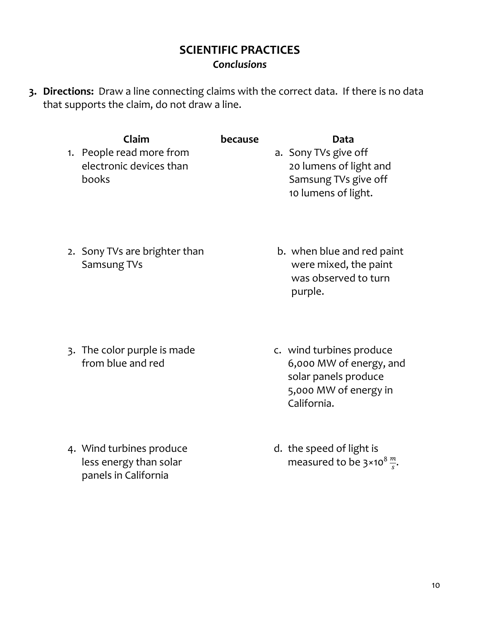**3. Directions:** Draw a line connecting claims with the correct data. If there is no data that supports the claim, do not draw a line.

| Claim                    | <b>because</b> | Data                   |
|--------------------------|----------------|------------------------|
| 1. People read more from |                | a. Sony TVs give off   |
| electronic devices than  |                | 20 lumens of light and |
| books                    |                | Samsung TVs give off   |
|                          |                | 10 lumens of light.    |

2. Sony TVs are brighter than Samsung TVs

3. The color purple is made from blue and red

4. Wind turbines produce less energy than solar panels in California

- b. when blue and red paint were mixed, the paint was observed to turn purple.
- c. wind turbines produce 6,000 MW of energy, and solar panels produce 5,000 MW of energy in California.
- d. the speed of light is measured to be 3×10 $^8 \frac{m}{s}$ .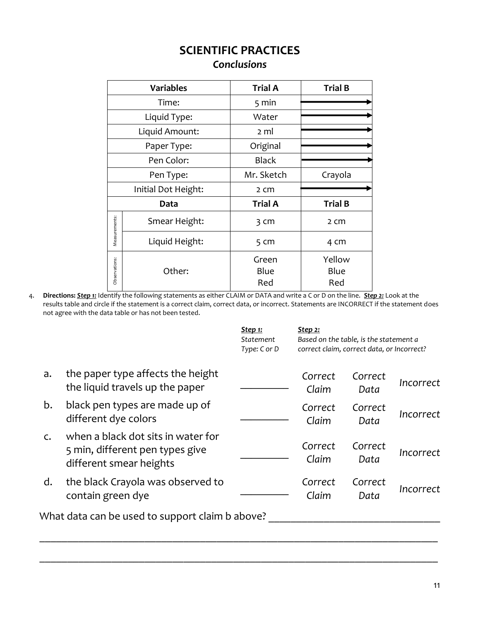|               | <b>Variables</b>    | <b>Trial A</b>        | <b>Trial B</b>        |
|---------------|---------------------|-----------------------|-----------------------|
| Time:         |                     | $5 \text{ min}$       |                       |
|               | Liquid Type:        | Water                 |                       |
|               | Liquid Amount:      | 2 ml                  |                       |
|               | Paper Type:         | Original              |                       |
| Pen Color:    |                     | <b>Black</b>          |                       |
| Pen Type:     |                     | Mr. Sketch<br>Crayola |                       |
|               | Initial Dot Height: | 2 cm                  |                       |
|               | Data                | <b>Trial A</b>        | <b>Trial B</b>        |
| Measurements: | Smear Height:       | 3 <sub>cm</sub>       | 2 <sub>cm</sub>       |
|               | Liquid Height:      | 5 <sub>cm</sub>       | 4 cm                  |
| Observations: | Other:              | Green<br>Blue<br>Red  | Yellow<br>Blue<br>Red |

4. **Directions:** *Step 1:* Identify the following statements as either CLAIM or DATA and write a C or D on the line. *Step 2:* Look at the results table and circle if the statement is a correct claim, correct data, or incorrect. Statements are INCORRECT if the statement does not agree with the data table or has not been tested.

|                |                                                                                                  | <u>Step 1:</u><br>Statement<br>Type: C or D | <u>Step 2:</u><br>Based on the table, is the statement a<br>correct claim, correct data, or Incorrect? |                 |           |
|----------------|--------------------------------------------------------------------------------------------------|---------------------------------------------|--------------------------------------------------------------------------------------------------------|-----------------|-----------|
| a.             | the paper type affects the height<br>the liquid travels up the paper                             |                                             | Correct<br>Claim                                                                                       | Correct<br>Data | Incorrect |
| b.             | black pen types are made up of<br>different dye colors                                           |                                             | Correct<br>Claim                                                                                       | Correct<br>Data | Incorrect |
| $\mathsf{C}$ . | when a black dot sits in water for<br>5 min, different pen types give<br>different smear heights |                                             | Correct<br>Claim                                                                                       | Correct<br>Data | Incorrect |
| d.             | the black Crayola was observed to<br>contain green dye                                           |                                             | Correct<br>Claim                                                                                       | Correct<br>Data | Incorrect |
|                | What data can be used to support claim b above?                                                  |                                             |                                                                                                        |                 |           |

\_\_\_\_\_\_\_\_\_\_\_\_\_\_\_\_\_\_\_\_\_\_\_\_\_\_\_\_\_\_\_\_\_\_\_\_\_\_\_\_\_\_\_\_\_\_\_\_\_\_\_\_\_\_\_\_\_\_\_\_\_\_\_\_\_\_\_\_\_\_\_\_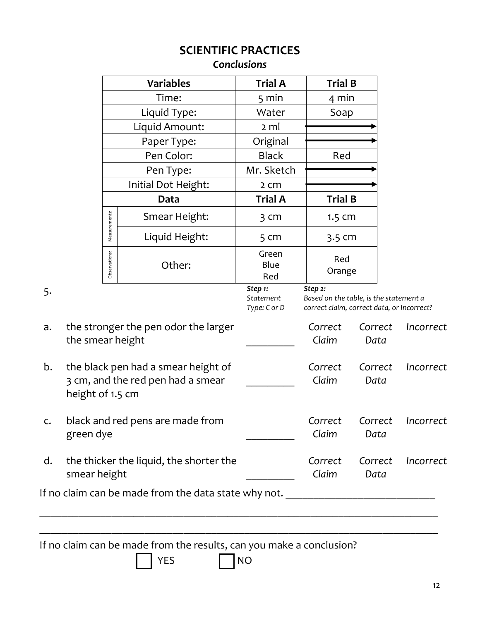|    |                  |               |                                      | <b>SCIENTIFIC PRACTICES</b><br><b>Conclusions</b> |                                                                                                        |                              |
|----|------------------|---------------|--------------------------------------|---------------------------------------------------|--------------------------------------------------------------------------------------------------------|------------------------------|
|    |                  |               | <b>Variables</b>                     | <b>Trial A</b>                                    | <b>Trial B</b>                                                                                         |                              |
|    |                  |               | Time:                                | $5 \text{ min}$                                   | 4 min                                                                                                  |                              |
|    |                  |               | Liquid Type:                         | Water                                             | Soap                                                                                                   |                              |
|    |                  |               | Liquid Amount:                       | 2 ml                                              |                                                                                                        |                              |
|    |                  |               | Paper Type:                          | Original                                          |                                                                                                        |                              |
|    |                  |               | Pen Color:                           | <b>Black</b>                                      | Red                                                                                                    |                              |
|    |                  |               | Pen Type:                            | Mr. Sketch                                        |                                                                                                        |                              |
|    |                  |               | Initial Dot Height:                  | 2 <sub>cm</sub>                                   |                                                                                                        |                              |
|    |                  |               | Data                                 | <b>Trial A</b>                                    | <b>Trial B</b>                                                                                         |                              |
|    |                  | Measurements: | Smear Height:                        | $3 \, \text{cm}$                                  | $1.5$ Cm                                                                                               |                              |
|    |                  |               | Liquid Height:                       | 5 <sub>cm</sub>                                   | 3.5 cm                                                                                                 |                              |
|    |                  | Observations: | Other:                               | Green<br>Blue<br>Red                              | Red<br>Orange                                                                                          |                              |
| 5. |                  |               |                                      | Step 1:<br>Statement<br>Type: C or D              | <b>Step 2:</b><br>Based on the table, is the statement a<br>correct claim, correct data, or Incorrect? |                              |
| a. | the smear height |               | the stronger the pen odor the larger |                                                   | Correct<br>Claim                                                                                       | Correct<br>Incorrect<br>Data |

*\_\_\_\_\_\_\_\_\_*

*Correct Claim*

*Claim*

*Correct Claim*

*Correct Data*

*Correct Data*

*Correct Data*

*Incorrect*

*Incorrect*

*Incorrect*

| b. the black pen had a smear height of |
|----------------------------------------|
| 3 cm, and the red pen had a smear      |
| height of 1.5 cm                       |

- c. black and red pens are made from green dye *\_\_\_\_\_\_\_\_\_ Correct*
- d. the thicker the liquid, the shorter the smear height *\_\_\_\_\_\_\_\_\_*

If no claim can be made from the data state why not. \_\_\_\_\_\_\_\_\_\_\_\_\_\_\_\_\_\_\_\_\_\_\_\_\_\_\_\_

If no claim can be made from the results, can you make a conclusion?

 $YES$   $NO$ 

\_\_\_\_\_\_\_\_\_\_\_\_\_\_\_\_\_\_\_\_\_\_\_\_\_\_\_\_\_\_\_\_\_\_\_\_\_\_\_\_\_\_\_\_\_\_\_\_\_\_\_\_\_\_\_\_\_\_\_\_\_\_\_\_\_\_\_\_\_\_\_\_

\_\_\_\_\_\_\_\_\_\_\_\_\_\_\_\_\_\_\_\_\_\_\_\_\_\_\_\_\_\_\_\_\_\_\_\_\_\_\_\_\_\_\_\_\_\_\_\_\_\_\_\_\_\_\_\_\_\_\_\_\_\_\_\_\_\_\_\_\_\_\_\_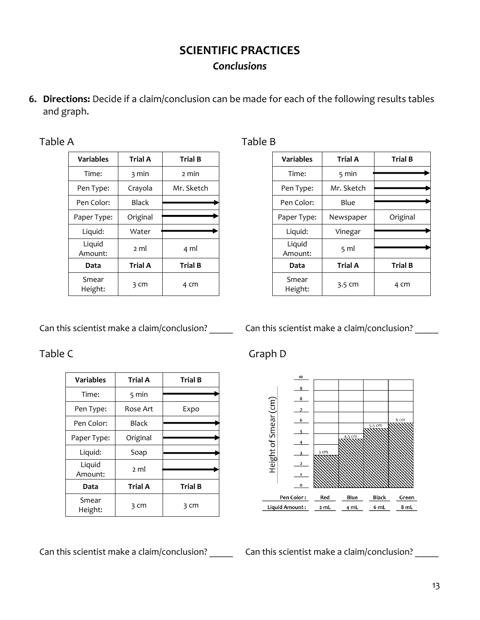**6. Directions:** Decide if a claim/conclusion can be made for each of the following results tables and graph.

| D<br>п |  |  |  |  |  |
|--------|--|--|--|--|--|
|--------|--|--|--|--|--|

| <b>Variables</b>  | <b>Trial A</b>  | <b>Trial B</b> |
|-------------------|-----------------|----------------|
| Time:             | 3 min           | 2 min          |
| Pen Type:         | Crayola         | Mr. Sketch     |
| Pen Color:        | <b>Black</b>    |                |
| Paper Type:       | Original        |                |
| Liquid:           | Water           |                |
| Liquid<br>Amount: | $2 \mathrm{ml}$ | 4 ml           |
| Data              | <b>Trial A</b>  | <b>Trial B</b> |
| Smear<br>Height:  | 3 cm            | 4 cm           |

Can this scientist make a claim/conclusion? \_\_\_\_\_\_ Can this scientist make a claim/conclusion? \_\_\_\_\_

| <b>Variables</b>  | <b>Trial A</b>  | <b>Trial B</b> |
|-------------------|-----------------|----------------|
| Time:             | $5 \text{ min}$ |                |
| Pen Type:         | Rose Art        | Expo           |
| Pen Color:        | <b>Black</b>    |                |
| Paper Type:       | Original        |                |
| Liquid:           | Soap            |                |
| Liquid<br>Amount: | 2 <sub>m</sub>  |                |
| Data              | <b>Trial A</b>  | <b>Trial B</b> |
| Smear<br>Height:  | 3 cm            | 3 cm           |

Table B

| <b>Variables</b>  | <b>Trial A</b>  | <b>Trial B</b> |
|-------------------|-----------------|----------------|
| Time:             | 5 min           |                |
| Pen Type:         | Mr. Sketch      |                |
| Pen Color:        | Blue            |                |
| Paper Type:       | Newspaper       | Original       |
| Liquid:           | Vinegar         |                |
| Liquid<br>Amount: | $5 \mathrm{ml}$ |                |
| Data              | <b>Trial A</b>  | <b>Trial B</b> |
| Smear<br>Height:  | 3.5 cm          | 4 cm           |

Table C Graph D



Can this scientist make a claim/conclusion? \_\_\_\_\_\_ Can this scientist make a claim/conclusion? \_\_\_\_\_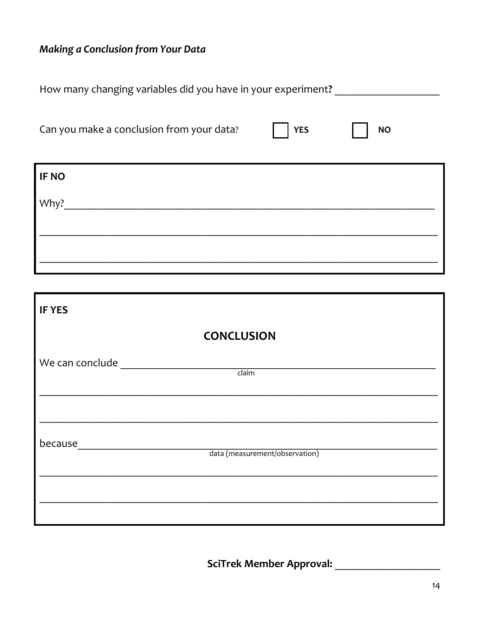# Making a Conclusion from Your Data

| Can you make a conclusion from your data?<br><b>YES</b><br><b>NO</b><br><b>IF NO</b><br>Why?<br><b>IF YES</b><br><b>CONCLUSION</b><br>We can conclude<br>claim | How many changing variables did you have in your experiment? |  |  |  |  |
|----------------------------------------------------------------------------------------------------------------------------------------------------------------|--------------------------------------------------------------|--|--|--|--|
|                                                                                                                                                                |                                                              |  |  |  |  |
|                                                                                                                                                                |                                                              |  |  |  |  |
|                                                                                                                                                                |                                                              |  |  |  |  |
|                                                                                                                                                                |                                                              |  |  |  |  |
|                                                                                                                                                                |                                                              |  |  |  |  |
|                                                                                                                                                                |                                                              |  |  |  |  |
|                                                                                                                                                                |                                                              |  |  |  |  |
|                                                                                                                                                                |                                                              |  |  |  |  |
|                                                                                                                                                                |                                                              |  |  |  |  |

| because | data (measurement/observation) |  |
|---------|--------------------------------|--|
|         |                                |  |
|         |                                |  |

<u> 1980 - Johann Barbara, martxa amerikan bashkar (</u>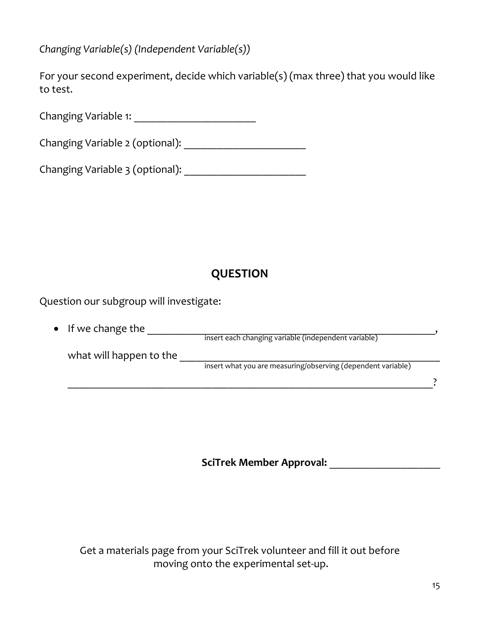*Changing Variable(s) (Independent Variable(s))*

For your second experiment, decide which variable(s) (max three) that you would like to test.

Changing Variable 1: \_\_\_\_\_\_\_\_\_\_\_\_\_\_\_\_\_\_\_\_\_\_

Changing Variable 2 (optional): \_\_\_\_\_\_\_\_\_\_\_\_\_\_\_\_\_\_\_\_\_\_

Changing Variable 3 (optional): \_\_\_\_\_\_\_\_\_\_\_\_\_\_\_\_\_\_\_\_\_\_

# **QUESTION**

Question our subgroup will investigate:

| $\bullet$ If we change the |                                                              |  |
|----------------------------|--------------------------------------------------------------|--|
|                            | insert each changing variable (independent variable)         |  |
| what will happen to the    |                                                              |  |
|                            | insert what you are measuring/observing (dependent variable) |  |
|                            |                                                              |  |

**SciTrek Member Approval:** \_\_\_\_\_\_\_\_\_\_\_\_\_\_\_\_\_\_\_\_

Get a materials page from your SciTrek volunteer and fill it out before moving onto the experimental set-up.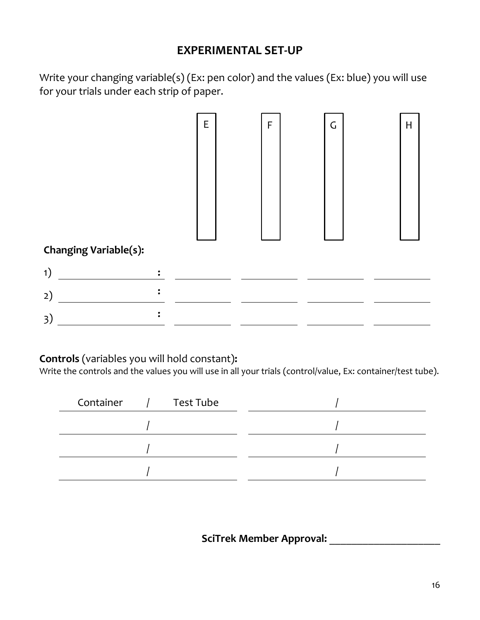## **EXPERIMENTAL SET-UP**

Write your changing variable(s) (Ex: pen color) and the values (Ex: blue) you will use for your trials under each strip of paper.



#### **Controls** (variables you will hold constant)**:**

Write the controls and the values you will use in all your trials (control/value, Ex: container/test tube).

| Test Tube<br>Container |  |
|------------------------|--|
|                        |  |
|                        |  |
|                        |  |

**SciTrek Member Approval:** \_\_\_\_\_\_\_\_\_\_\_\_\_\_\_\_\_\_\_\_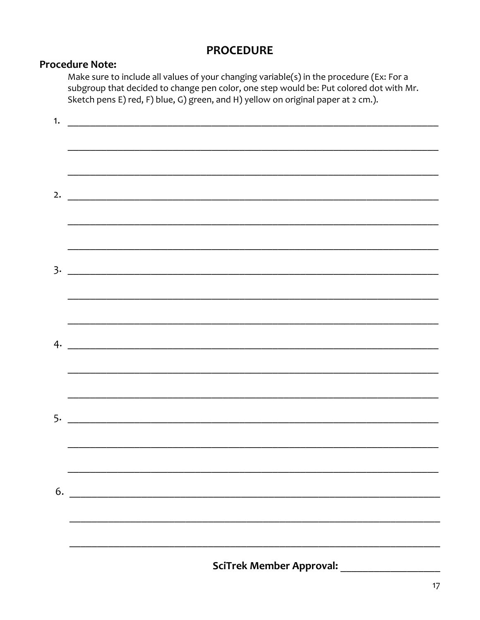## **PROCEDURE**

#### **Procedure Note:**

Make sure to include all values of your changing variable(s) in the procedure (Ex: For a subgroup that decided to change pen color, one step would be: Put colored dot with Mr. Sketch pens E) red, F) blue, G) green, and H) yellow on original paper at 2 cm.).

|    | SciTrek Member Approval:                                                                                             |
|----|----------------------------------------------------------------------------------------------------------------------|
|    |                                                                                                                      |
|    |                                                                                                                      |
| 6. |                                                                                                                      |
|    |                                                                                                                      |
|    | $5.$ $\overline{\phantom{a}}$                                                                                        |
|    |                                                                                                                      |
|    |                                                                                                                      |
|    |                                                                                                                      |
|    |                                                                                                                      |
|    |                                                                                                                      |
|    |                                                                                                                      |
|    |                                                                                                                      |
|    | 2. $\qquad \qquad$                                                                                                   |
|    |                                                                                                                      |
|    | <u> 1999 - Jan James James James James James James James James James James James James James James James James J</u> |
| 1. |                                                                                                                      |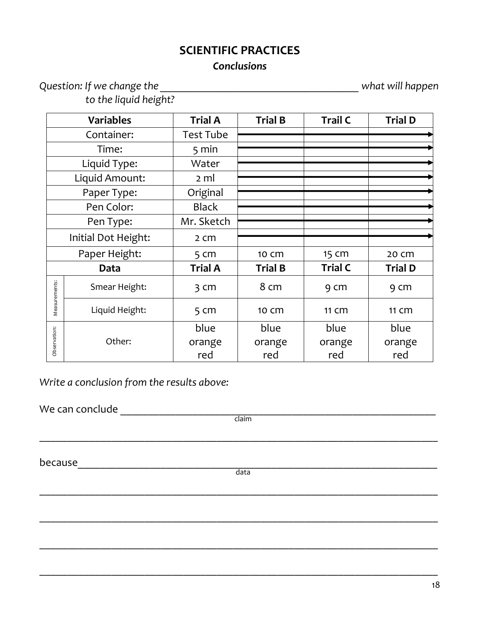*Question: If we change the \_\_\_\_\_\_\_\_\_\_\_\_\_\_\_\_\_\_\_\_\_\_\_\_\_\_\_\_\_\_\_\_\_\_\_\_\_ what will happen* 

*to the liquid height?* 

| <b>Variables</b>    |                | <b>Trial A</b>   | <b>Trial B</b> | <b>Trail C</b> | <b>Trial D</b> |
|---------------------|----------------|------------------|----------------|----------------|----------------|
| Container:          |                | <b>Test Tube</b> |                |                |                |
|                     | Time:          | $5 \text{ min}$  |                |                |                |
|                     | Liquid Type:   | Water            |                |                |                |
|                     | Liquid Amount: | 2 ml             |                |                |                |
|                     | Paper Type:    | Original         |                |                |                |
|                     | Pen Color:     | <b>Black</b>     |                |                |                |
|                     | Pen Type:      | Mr. Sketch       |                |                |                |
| Initial Dot Height: |                | 2 <sub>cm</sub>  |                |                |                |
| Paper Height:       |                | 5 <sub>cm</sub>  | 10 Cm          | 15 cm          | 20 Cm          |
|                     | Data           | <b>Trial A</b>   | <b>Trial B</b> | <b>Trial C</b> | <b>Trial D</b> |
| Measurements:       | Smear Height:  | $3 \, \text{cm}$ | 8 cm           | 9 cm           | 9 cm           |
|                     | Liquid Height: | 5 <sub>cm</sub>  | 10 Cm          | 11 Cm          | 11 Cm          |
|                     |                | blue             | blue           | blue           | blue           |
| Observation:        | Other:         | orange           | orange         | orange         | orange         |
|                     |                | red              | red            | red            | red            |

*Write a conclusion from the results above:*

We can conclude \_\_\_\_\_\_\_\_\_\_\_\_\_\_\_\_\_\_\_\_\_\_\_\_\_\_\_\_\_\_\_\_\_\_\_\_\_\_\_\_\_\_\_\_\_\_\_\_\_\_\_\_\_\_\_\_\_

claim

 $\_$  , and the contribution of the contribution of  $\mathcal{L}_1$  , and  $\mathcal{L}_2$  , and  $\mathcal{L}_3$  , and  $\mathcal{L}_4$  , and  $\mathcal{L}_5$  , and  $\mathcal{L}_6$  , and  $\mathcal{L}_7$  , and  $\mathcal{L}_8$  , and  $\mathcal{L}_7$  , and  $\mathcal{L}_8$  , and  $\mathcal{L}_9$  ,

because\_\_\_\_\_\_\_\_\_\_\_\_\_\_\_\_\_\_\_\_\_\_\_\_\_\_\_\_\_\_\_\_\_\_\_\_\_\_\_\_\_\_\_\_\_\_\_\_\_\_\_\_\_\_\_\_\_\_\_\_\_\_\_\_\_

data

\_\_\_\_\_\_\_\_\_\_\_\_\_\_\_\_\_\_\_\_\_\_\_\_\_\_\_\_\_\_\_\_\_\_\_\_\_\_\_\_\_\_\_\_\_\_\_\_\_\_\_\_\_\_\_\_\_\_\_\_\_\_\_\_\_\_\_\_\_\_\_\_

\_\_\_\_\_\_\_\_\_\_\_\_\_\_\_\_\_\_\_\_\_\_\_\_\_\_\_\_\_\_\_\_\_\_\_\_\_\_\_\_\_\_\_\_\_\_\_\_\_\_\_\_\_\_\_\_\_\_\_\_\_\_\_\_\_\_\_\_\_\_\_\_

\_\_\_\_\_\_\_\_\_\_\_\_\_\_\_\_\_\_\_\_\_\_\_\_\_\_\_\_\_\_\_\_\_\_\_\_\_\_\_\_\_\_\_\_\_\_\_\_\_\_\_\_\_\_\_\_\_\_\_\_\_\_\_\_\_\_\_\_\_\_\_\_

\_\_\_\_\_\_\_\_\_\_\_\_\_\_\_\_\_\_\_\_\_\_\_\_\_\_\_\_\_\_\_\_\_\_\_\_\_\_\_\_\_\_\_\_\_\_\_\_\_\_\_\_\_\_\_\_\_\_\_\_\_\_\_\_\_\_\_\_\_\_\_\_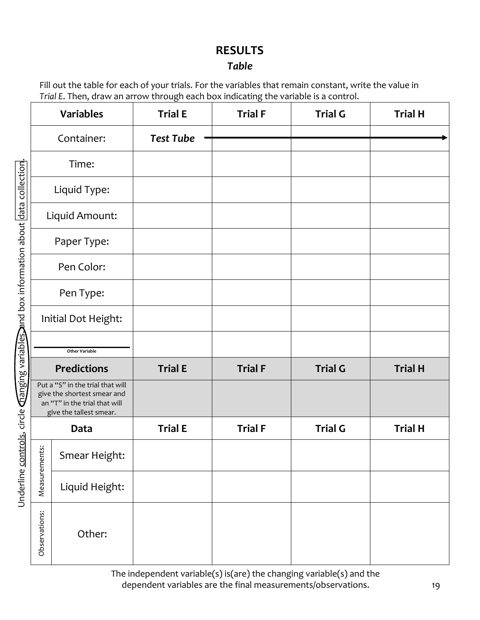## **RESULTS**

### *Table*

Fill out the table for each of your trials. For the variables that remain constant, write the value in *Trial E*. Then, draw an arrow through each box indicating the variable is a control.

|                     | <b>Variables</b>                                                                                                            | <b>Trial E</b>   | <b>Trial F</b> | <b>Trial G</b> | <b>Trial H</b> |
|---------------------|-----------------------------------------------------------------------------------------------------------------------------|------------------|----------------|----------------|----------------|
|                     | Container:                                                                                                                  | <b>Test Tube</b> |                |                |                |
|                     | Time:                                                                                                                       |                  |                |                |                |
|                     | Liquid Type:                                                                                                                |                  |                |                |                |
|                     | Liquid Amount:                                                                                                              |                  |                |                |                |
|                     | Paper Type:                                                                                                                 |                  |                |                |                |
|                     | Pen Color:                                                                                                                  |                  |                |                |                |
|                     | Pen Type:                                                                                                                   |                  |                |                |                |
|                     | Initial Dot Height:                                                                                                         |                  |                |                |                |
|                     | <b>Other Variable</b>                                                                                                       |                  |                |                |                |
|                     | <b>Predictions</b>                                                                                                          | <b>Trial E</b>   | <b>Trial F</b> | <b>Trial G</b> | <b>Trial H</b> |
|                     | Put a "S" in the trial that will<br>give the shortest smear and<br>an "T" in the trial that will<br>give the tallest smear. |                  |                |                |                |
|                     | Data                                                                                                                        | <b>Trial E</b>   | <b>Trial F</b> | <b>Trial G</b> | <b>Trial H</b> |
| $\ddot{\mathrm{s}}$ | Smear Height:                                                                                                               |                  |                |                |                |
| Measuremen          | Liquid Height:                                                                                                              |                  |                |                |                |
| Observations:       | Other:                                                                                                                      |                  |                |                |                |

The independent variable(s) is(are) the changing variable(s) and the dependent variables are the final measurements/observations.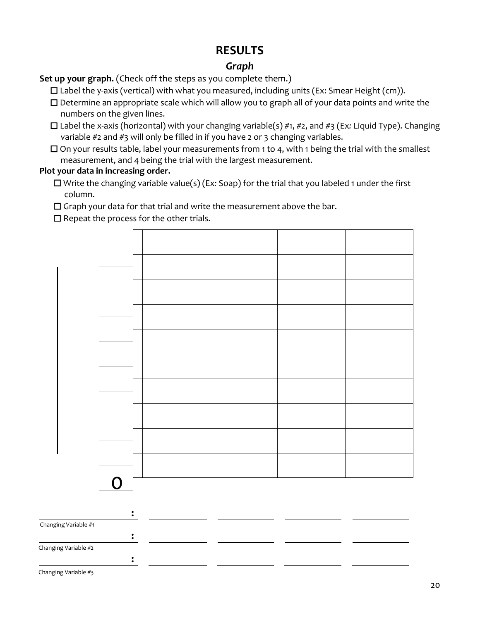## **RESULTS**

### *Graph*

#### **Set up your graph.** (Check off the steps as you complete them.)

 $\Box$  Label the y-axis (vertical) with what you measured, including units (Ex: Smear Height (cm)).

- ☐ Determine an appropriate scale which will allow you to graph all of your data points and write the numbers on the given lines.
- ☐ Label the x-axis (horizontal) with your changing variable(s) #1, #2, and #3 (Ex*:* Liquid Type). Changing variable #2 and #3 will only be filled in if you have 2 or 3 changing variables.
- $\Box$  On your results table, label your measurements from 1 to 4, with 1 being the trial with the smallest measurement, and 4 being the trial with the largest measurement.

#### **Plot your data in increasing order.**

☐ Write the changing variable value(s) (Ex*:* Soap) for the trial that you labeled 1 under the first column.

☐ Graph your data for that trial and write the measurement above the bar.

 $\Box$  Repeat the process for the other trials.



Changing Variable #3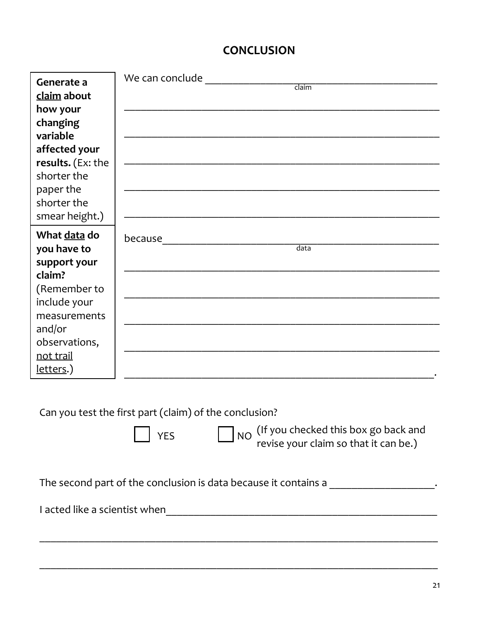## **CONCLUSION**

| Generate a<br>claim about<br>how your<br>changing<br>variable<br>affected your<br>results. (Ex: the<br>shorter the<br>paper the<br>shorter the<br>smear height.) | We can conclude<br>claim                           |
|------------------------------------------------------------------------------------------------------------------------------------------------------------------|----------------------------------------------------|
| What data do<br>you have to<br>support your<br>claim?<br>(Remember to<br>include your<br>measurements<br>and/or<br>observations,<br>not trail<br>letters.)       | because <u>______________</u><br>$\overline{data}$ |

Can you test the first part (claim) of the conclusion?

 $\Box$  YES  $\Box$  NO (If you checked this box go back and revise your claim so that it can be.)

The second part of the conclusion is data because it contains a  $\blacksquare$ 

 $\_$  ,  $\_$  ,  $\_$  ,  $\_$  ,  $\_$  ,  $\_$  ,  $\_$  ,  $\_$  ,  $\_$  ,  $\_$  ,  $\_$  ,  $\_$  ,  $\_$  ,  $\_$  ,  $\_$  ,  $\_$  ,  $\_$  ,  $\_$  ,  $\_$  ,  $\_$  ,  $\_$  ,  $\_$  ,  $\_$  ,  $\_$  ,  $\_$  ,  $\_$  ,  $\_$  ,  $\_$  ,  $\_$  ,  $\_$  ,  $\_$  ,  $\_$  ,  $\_$  ,  $\_$  ,  $\_$  ,  $\_$  ,  $\_$  ,

\_\_\_\_\_\_\_\_\_\_\_\_\_\_\_\_\_\_\_\_\_\_\_\_\_\_\_\_\_\_\_\_\_\_\_\_\_\_\_\_\_\_\_\_\_\_\_\_\_\_\_\_\_\_\_\_\_\_\_\_\_\_\_\_\_\_\_\_\_\_\_\_

I acted like a scientist when\_\_\_\_\_\_\_\_\_\_\_\_\_\_\_\_\_\_\_\_\_\_\_\_\_\_\_\_\_\_\_\_\_\_\_\_\_\_\_\_\_\_\_\_\_\_\_\_\_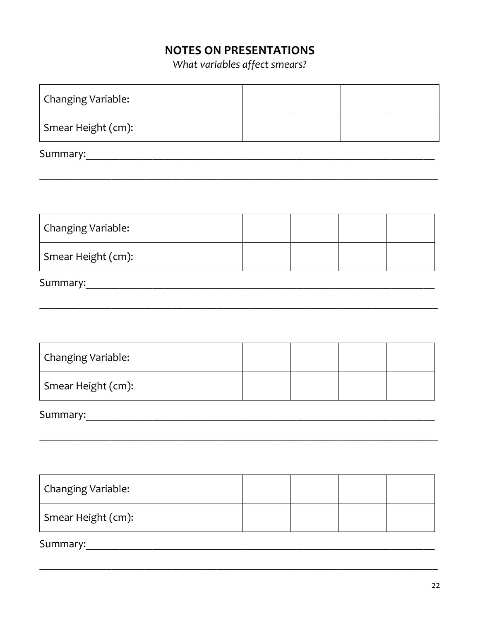# **NOTES ON PRESENTATIONS**

What variables affect smears?

| Changing Variable:                                                                                                                                                                                                             |  |  |  |  |  |
|--------------------------------------------------------------------------------------------------------------------------------------------------------------------------------------------------------------------------------|--|--|--|--|--|
| Smear Height (cm):                                                                                                                                                                                                             |  |  |  |  |  |
|                                                                                                                                                                                                                                |  |  |  |  |  |
|                                                                                                                                                                                                                                |  |  |  |  |  |
|                                                                                                                                                                                                                                |  |  |  |  |  |
| Changing Variable:                                                                                                                                                                                                             |  |  |  |  |  |
| Smear Height (cm):                                                                                                                                                                                                             |  |  |  |  |  |
| Summary: The contract of the contract of the contract of the contract of the contract of the contract of the contract of the contract of the contract of the contract of the contract of the contract of the contract of the c |  |  |  |  |  |
|                                                                                                                                                                                                                                |  |  |  |  |  |
|                                                                                                                                                                                                                                |  |  |  |  |  |
| Changing Variable:                                                                                                                                                                                                             |  |  |  |  |  |
| Smear Height (cm):                                                                                                                                                                                                             |  |  |  |  |  |
| Summary:                                                                                                                                                                                                                       |  |  |  |  |  |
|                                                                                                                                                                                                                                |  |  |  |  |  |
|                                                                                                                                                                                                                                |  |  |  |  |  |
| Changing Variable:                                                                                                                                                                                                             |  |  |  |  |  |
| Smear Height (cm):                                                                                                                                                                                                             |  |  |  |  |  |
| Summary:                                                                                                                                                                                                                       |  |  |  |  |  |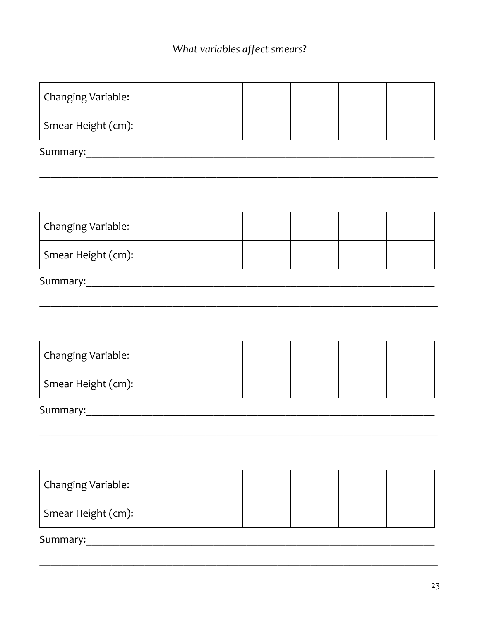# What variables affect smears?

| Changing Variable:             |  |  |  |  |
|--------------------------------|--|--|--|--|
| Smear Height (cm):             |  |  |  |  |
|                                |  |  |  |  |
|                                |  |  |  |  |
|                                |  |  |  |  |
| Changing Variable:             |  |  |  |  |
| Smear Height (cm):             |  |  |  |  |
|                                |  |  |  |  |
|                                |  |  |  |  |
|                                |  |  |  |  |
| Changing Variable:             |  |  |  |  |
| Smear Height (cm):             |  |  |  |  |
| Summary:                       |  |  |  |  |
|                                |  |  |  |  |
|                                |  |  |  |  |
| Changing Variable:             |  |  |  |  |
| Smear Height (cm):             |  |  |  |  |
| Summary: Note and the Summary: |  |  |  |  |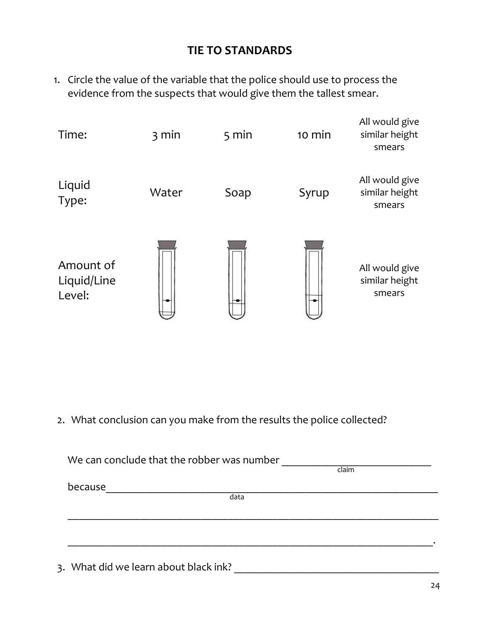## **TIE TO STANDARDS**

1. Circle the value of the variable that the police should use to process the evidence from the suspects that would give them the tallest smear.



2. What conclusion can you make from the results the police collected?

| We can conclude that the robber was number |       |
|--------------------------------------------|-------|
|                                            | claim |
| because                                    |       |
| data                                       |       |
|                                            |       |
|                                            |       |
|                                            |       |
|                                            |       |
| 3. What did we learn about black ink?      |       |
|                                            |       |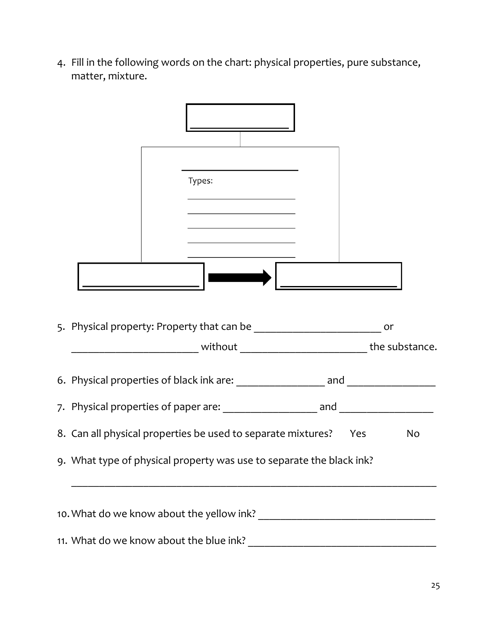4. Fill in the following words on the chart: physical properties, pure substance, matter, mixture.

| <u> 1989 - Johann Barn, mars eta bainar eta bat erroman erroman erroman erroman erroman erroman erroman erroman e</u><br>Types: |     |    |
|---------------------------------------------------------------------------------------------------------------------------------|-----|----|
| the control of the control of the control of                                                                                    |     |    |
|                                                                                                                                 |     |    |
|                                                                                                                                 |     |    |
|                                                                                                                                 |     | or |
|                                                                                                                                 |     |    |
|                                                                                                                                 |     |    |
| 8. Can all physical properties be used to separate mixtures?                                                                    | Yes | No |
| 9. What type of physical property was use to separate the black ink?                                                            |     |    |
|                                                                                                                                 |     |    |
| 11. What do we know about the blue ink?                                                                                         |     |    |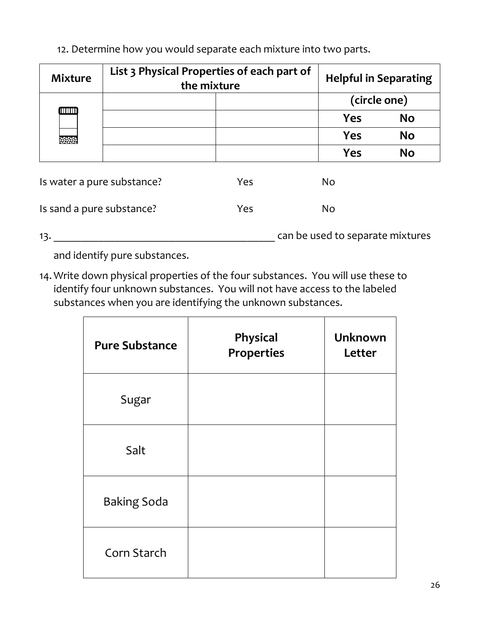12. Determine how you would separate each mixture into two parts.

| <b>Mixture</b>             | List 3 Physical Properties of each part of<br>the mixture |     | <b>Helpful in Separating</b> |                                  |           |
|----------------------------|-----------------------------------------------------------|-----|------------------------------|----------------------------------|-----------|
|                            |                                                           |     |                              | (circle one)                     |           |
| <b>ATTALLED</b>            |                                                           |     |                              | <b>Yes</b>                       | <b>No</b> |
| baran i                    |                                                           |     |                              | <b>Yes</b>                       | <b>No</b> |
|                            |                                                           |     |                              | <b>Yes</b>                       | <b>No</b> |
| Is water a pure substance? |                                                           | Yes |                              | N <sub>o</sub>                   |           |
| Is sand a pure substance?  |                                                           | Yes |                              | N <sub>o</sub>                   |           |
| 13.                        |                                                           |     |                              | can be used to separate mixtures |           |

and identify pure substances.

14. Write down physical properties of the four substances. You will use these to identify four unknown substances. You will not have access to the labeled substances when you are identifying the unknown substances.

| <b>Pure Substance</b> | Physical<br><b>Properties</b> | <b>Unknown</b><br>Letter |
|-----------------------|-------------------------------|--------------------------|
| Sugar                 |                               |                          |
| Salt                  |                               |                          |
| <b>Baking Soda</b>    |                               |                          |
| Corn Starch           |                               |                          |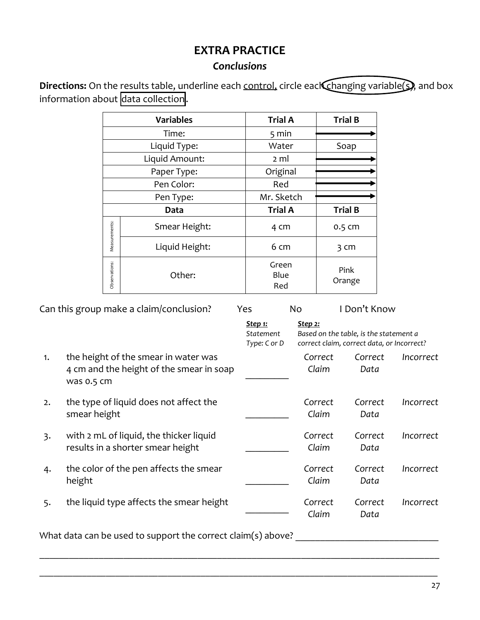## **EXTRA PRACTICE**

## *Conclusions*

**Directions:** On the results table, underline each control, circle each changing variable(s), and box information about data collection.

|               | <b>Variables</b> | <b>Trial A</b>       | <b>Trial B</b> |
|---------------|------------------|----------------------|----------------|
|               | Time:            | $5 \text{ min}$      |                |
|               | Liquid Type:     | Water                | Soap           |
|               | Liquid Amount:   | 2 ml                 |                |
|               | Paper Type:      | Original             |                |
|               | Pen Color:       | Red                  |                |
|               | Pen Type:        | Mr. Sketch           |                |
|               | Data             | <b>Trial A</b>       | <b>Trial B</b> |
| Measurements: | Smear Height:    | 4 cm                 | 0.5 cm         |
|               | Liquid Height:   | 6 cm                 | 3 cm           |
| Observations: | Other:           | Green<br>Blue<br>Red | Pink<br>Orange |

| <u>Step 1:</u><br>Statement<br>Type: C or D<br>the height of the smear in water was<br>1.<br>4 cm and the height of the smear in soap<br>was 0.5 cm<br>the type of liquid does not affect the<br>2.<br>smear height<br>with 2 mL of liquid, the thicker liquid<br>$\overline{3}$ .<br>results in a shorter smear height | <u>Step 2:</u><br>Correct<br>Claim | Based on the table, is the statement a<br>correct claim, correct data, or Incorrect?<br>Correct<br>Data | Incorrect |
|-------------------------------------------------------------------------------------------------------------------------------------------------------------------------------------------------------------------------------------------------------------------------------------------------------------------------|------------------------------------|---------------------------------------------------------------------------------------------------------|-----------|
|                                                                                                                                                                                                                                                                                                                         |                                    |                                                                                                         |           |
|                                                                                                                                                                                                                                                                                                                         |                                    |                                                                                                         |           |
|                                                                                                                                                                                                                                                                                                                         | Correct<br>Claim                   | Correct<br>Data                                                                                         | Incorrect |
|                                                                                                                                                                                                                                                                                                                         | Correct<br>Claim                   | Correct<br>Data                                                                                         | Incorrect |
| the color of the pen affects the smear<br>4.<br>height                                                                                                                                                                                                                                                                  | Correct<br>Claim                   | Correct<br>Data                                                                                         | Incorrect |
| the liquid type affects the smear height<br>5.                                                                                                                                                                                                                                                                          | Correct<br>Claim                   | Correct<br>Data                                                                                         | Incorrect |

\_\_\_\_\_\_\_\_\_\_\_\_\_\_\_\_\_\_\_\_\_\_\_\_\_\_\_\_\_\_\_\_\_\_\_\_\_\_\_\_\_\_\_\_\_\_\_\_\_\_\_\_\_\_\_\_\_\_\_\_\_\_\_\_\_\_\_\_\_\_\_\_\_\_\_\_\_\_\_\_\_

\_\_\_\_\_\_\_\_\_\_\_\_\_\_\_\_\_\_\_\_\_\_\_\_\_\_\_\_\_\_\_\_\_\_\_\_\_\_\_\_\_\_\_\_\_\_\_\_\_\_\_\_\_\_\_\_\_\_\_\_\_\_\_\_\_\_\_\_\_\_\_\_\_\_\_\_\_\_\_\_\_\_\_\_

What data can be used to support the correct claim(s) above? \_\_\_\_\_\_\_\_\_\_\_\_\_\_\_\_\_\_\_\_\_\_\_\_\_\_\_\_\_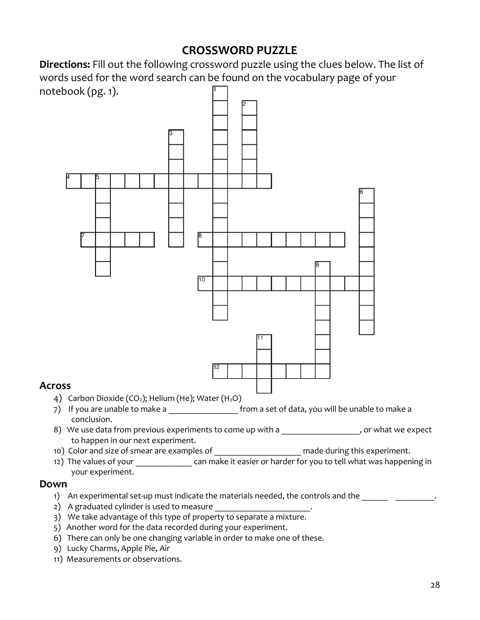## **CROSSWORD PUZZLE**

**Directions:** Fill out the following crossword puzzle using the clues below. The list of words used for the word search can be found on the vocabulary page of your notebook (pg. 1).



#### **Across**

- 4) Carbon Dioxide (CO<sub>2</sub>); Helium (He); Water (H<sub>2</sub>O)
- 7) If you are unable to make a \_\_\_\_\_\_\_\_\_\_\_\_\_\_\_\_\_\_\_\_ from a set of data, you will be unable to make a conclusion.
- 8) We use data from previous experiments to come up with a \_\_\_\_\_\_\_\_\_\_\_\_\_\_\_\_\_\_, or what we expect to happen in our next experiment.
- 10) Color and size of smear are examples of  $\Box$  made during this experiment.
- 12) The values of your can make it easier or harder for you to tell what was happening in your experiment.

#### **Down**

- 1) An experimental set-up must indicate the materials needed, the controls and the \_\_\_\_\_\_ \_\_\_\_\_\_\_\_\_\_.
- 2) A graduated cylinder is used to measure
- 3) We take advantage of this type of property to separate a mixture.
- 5) Another word for the data recorded during your experiment.
- 6) There can only be one changing variable in order to make one of these.
- 9) Lucky Charms, Apple Pie, Air
- 11) Measurements or observations.